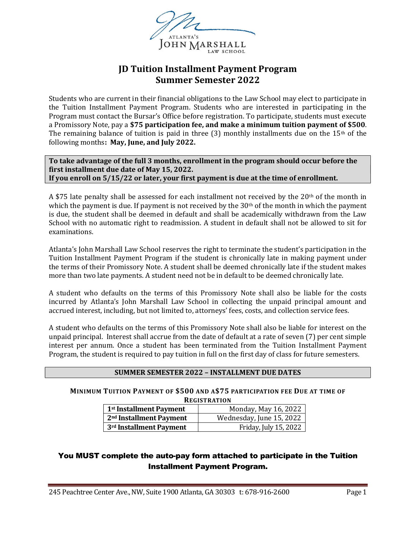

## JD Tuition Installment Payment Program Summer Semester 2022

Students who are current in their financial obligations to the Law School may elect to participate in the Tuition Installment Payment Program. Students who are interested in participating in the Program must contact the Bursar's Office before registration. To participate, students must execute a Promissory Note, pay a \$75 participation fee, and make a minimum tuition payment of \$500. The remaining balance of tuition is paid in three  $(3)$  monthly installments due on the 15<sup>th</sup> of the following months: May, June, and July 2022.

To take advantage of the full 3 months, enrollment in the program should occur before the first installment due date of May 15, 2022. If you enroll on 5/15/22 or later, your first payment is due at the time of enrollment.

A \$75 late penalty shall be assessed for each installment not received by the  $20<sup>th</sup>$  of the month in which the payment is due. If payment is not received by the 30th of the month in which the payment is due, the student shall be deemed in default and shall be academically withdrawn from the Law School with no automatic right to readmission. A student in default shall not be allowed to sit for examinations.

Atlanta's John Marshall Law School reserves the right to terminate the student's participation in the Tuition Installment Payment Program if the student is chronically late in making payment under the terms of their Promissory Note. A student shall be deemed chronically late if the student makes more than two late payments. A student need not be in default to be deemed chronically late.

A student who defaults on the terms of this Promissory Note shall also be liable for the costs incurred by Atlanta's John Marshall Law School in collecting the unpaid principal amount and accrued interest, including, but not limited to, attorneys' fees, costs, and collection service fees.

A student who defaults on the terms of this Promissory Note shall also be liable for interest on the unpaid principal. Interest shall accrue from the date of default at a rate of seven (7) per cent simple interest per annum. Once a student has been terminated from the Tuition Installment Payment Program, the student is required to pay tuition in full on the first day of class for future semesters.

#### SUMMER SEMESTER 2022 – INSTALLMENT DUE DATES

#### MINIMUM TUITION PAYMENT OF \$500 AND A\$75 PARTICIPATION FEE DUE AT TIME OF **REGISTRATION**

| 1 <sup>st</sup> Installment Payment | Monday, May 16, 2022     |
|-------------------------------------|--------------------------|
| 2 <sup>nd</sup> Installment Payment | Wednesday, June 15, 2022 |
| 3 <sup>rd</sup> Installment Payment | Friday, July 15, 2022    |

#### You MUST complete the auto-pay form attached to participate in the Tuition Installment Payment Program.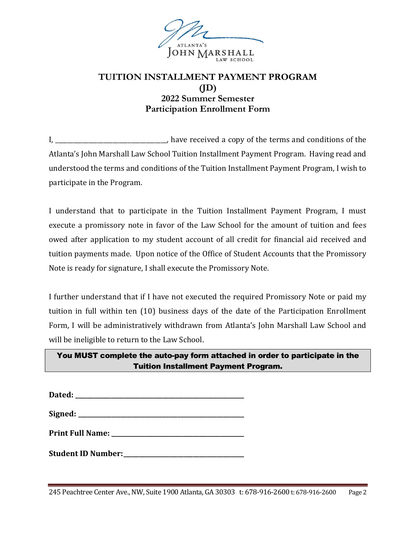

## TUITION INSTALLMENT PAYMENT PROGRAM (JD) 2022 Summer Semester Participation Enrollment Form

I, \_\_\_\_\_\_\_\_\_\_\_\_\_\_\_\_\_\_\_\_\_\_\_\_\_\_\_\_\_, have received a copy of the terms and conditions of the Atlanta's John Marshall Law School Tuition Installment Payment Program. Having read and understood the terms and conditions of the Tuition Installment Payment Program, I wish to participate in the Program.

I understand that to participate in the Tuition Installment Payment Program, I must execute a promissory note in favor of the Law School for the amount of tuition and fees owed after application to my student account of all credit for financial aid received and tuition payments made. Upon notice of the Office of Student Accounts that the Promissory Note is ready for signature, I shall execute the Promissory Note.

I further understand that if I have not executed the required Promissory Note or paid my tuition in full within ten (10) business days of the date of the Participation Enrollment Form, I will be administratively withdrawn from Atlanta's John Marshall Law School and will be ineligible to return to the Law School.

### You MUST complete the auto-pay form attached in order to participate in the Tuition Installment Payment Program.

Dated:  $\Box$ 

Signed: \_\_\_\_\_\_\_\_\_\_\_\_\_\_\_\_\_\_\_\_\_\_\_\_\_\_\_\_\_\_\_\_\_\_\_\_\_\_\_\_\_\_\_\_\_\_\_\_\_\_\_\_\_\_\_

Print Full Name: \_\_\_\_\_\_\_\_\_\_\_\_\_\_\_\_\_\_\_\_\_\_\_\_\_\_\_\_\_\_\_\_\_\_\_\_\_\_\_\_\_\_\_\_

Student ID Number: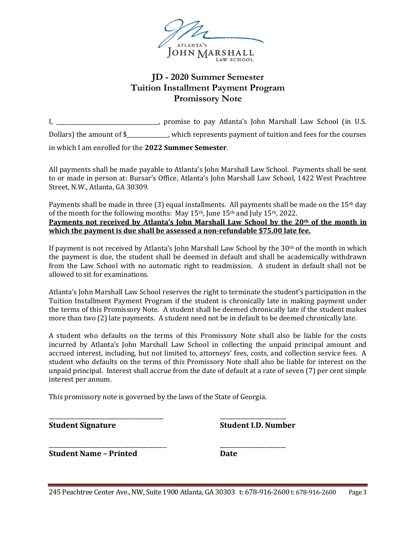

### JD - 2020 Summer Semester Tuition Installment Payment Program Promissory Note

I, \_\_\_\_\_\_\_\_\_\_\_\_\_\_\_\_\_\_\_\_\_\_\_\_\_\_\_\_\_\_\_\_\_\_\_\_\_, promise to pay Atlanta's John Marshall Law School (in U.S. Dollars) the amount of \$\_\_\_\_\_\_\_\_\_\_\_\_\_\_\_, which represents payment of tuition and fees for the courses in which I am enrolled for the 2022 Summer Semester.

All payments shall be made payable to Atlanta's John Marshall Law School. Payments shall be sent to or made in person at: Bursar's Office, Atlanta's John Marshall Law School, 1422 West Peachtree Street, N.W., Atlanta, GA 30309.

Payments shall be made in three (3) equal installments. All payments shall be made on the  $15<sup>th</sup>$  day of the month for the following months: May 15th, June 15th and July 15th, 2022. Payments not received by Atlanta's John Marshall Law School by the 20<sup>th</sup> of the month in which the payment is due shall be assessed a non-refundable \$75.00 late fee.

If payment is not received by Atlanta's John Marshall Law School by the  $30<sup>th</sup>$  of the month in which the payment is due, the student shall be deemed in default and shall be academically withdrawn from the Law School with no automatic right to readmission. A student in default shall not be allowed to sit for examinations.

Atlanta's John Marshall Law School reserves the right to terminate the student's participation in the Tuition Installment Payment Program if the student is chronically late in making payment under the terms of this Promissory Note. A student shall be deemed chronically late if the student makes more than two (2) late payments. A student need not be in default to be deemed chronically late.

A student who defaults on the terms of this Promissory Note shall also be liable for the costs incurred by Atlanta's John Marshall Law School in collecting the unpaid principal amount and accrued interest, including, but not limited to, attorneys' fees, costs, and collection service fees. A student who defaults on the terms of this Promissory Note shall also be liable for interest on the unpaid principal. Interest shall accrue from the date of default at a rate of seven (7) per cent simple interest per annum.

This promissory note is governed by the laws of the State of Georgia.

\_\_\_\_\_\_\_\_\_\_\_\_\_\_\_\_\_\_\_\_\_\_\_\_\_\_\_\_\_\_\_\_\_\_\_\_\_\_\_ \_\_\_\_\_\_\_\_\_\_\_\_\_\_\_\_\_\_\_\_\_\_

\_\_\_\_\_\_\_\_\_\_\_\_\_\_\_\_\_\_\_\_\_\_\_\_\_\_\_\_\_\_\_\_\_\_\_\_\_\_ \_\_\_\_\_\_\_\_\_\_\_\_\_\_\_\_\_\_\_\_\_\_ Student Signature Student I.D. Number

Student Name – Printed Date